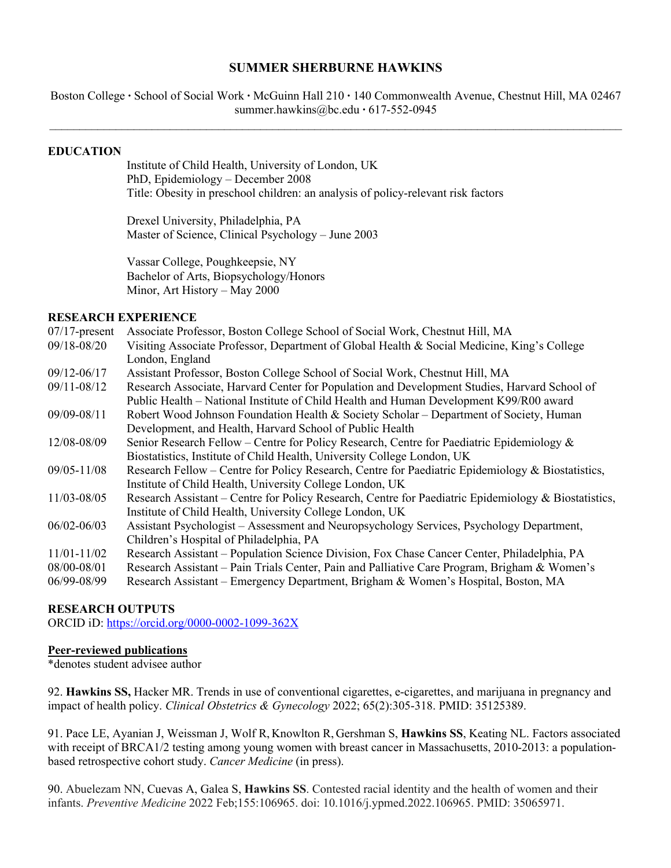### **SUMMER SHERBURNE HAWKINS**

Boston College **∙** School of Social Work **∙** McGuinn Hall 210 **∙** 140 Commonwealth Avenue, Chestnut Hill, MA 02467 summer.hawkins@bc.edu **∙** 617-552-0945  $\_$ 

#### **EDUCATION**

Institute of Child Health, University of London, UK PhD, Epidemiology – December 2008 Title: Obesity in preschool children: an analysis of policy-relevant risk factors

Drexel University, Philadelphia, PA Master of Science, Clinical Psychology – June 2003

Vassar College, Poughkeepsie, NY Bachelor of Arts, Biopsychology/Honors Minor, Art History – May 2000

### **RESEARCH EXPERIENCE**

| $07/17$ -present | Associate Professor, Boston College School of Social Work, Chestnut Hill, MA                         |
|------------------|------------------------------------------------------------------------------------------------------|
| 09/18-08/20      | Visiting Associate Professor, Department of Global Health & Social Medicine, King's College          |
|                  | London, England                                                                                      |
| $09/12 - 06/17$  | Assistant Professor, Boston College School of Social Work, Chestnut Hill, MA                         |
| 09/11-08/12      | Research Associate, Harvard Center for Population and Development Studies, Harvard School of         |
|                  | Public Health – National Institute of Child Health and Human Development K99/R00 award               |
| 09/09-08/11      | Robert Wood Johnson Foundation Health & Society Scholar – Department of Society, Human               |
|                  | Development, and Health, Harvard School of Public Health                                             |
| 12/08-08/09      | Senior Research Fellow – Centre for Policy Research, Centre for Paediatric Epidemiology &            |
|                  | Biostatistics, Institute of Child Health, University College London, UK                              |
| $09/05 - 11/08$  | Research Fellow – Centre for Policy Research, Centre for Paediatric Epidemiology & Biostatistics,    |
|                  | Institute of Child Health, University College London, UK                                             |
| 11/03-08/05      | Research Assistant – Centre for Policy Research, Centre for Paediatric Epidemiology & Biostatistics, |
|                  | Institute of Child Health, University College London, UK                                             |
| $06/02 - 06/03$  | Assistant Psychologist – Assessment and Neuropsychology Services, Psychology Department,             |
|                  | Children's Hospital of Philadelphia, PA                                                              |
| 11/01-11/02      | Research Assistant – Population Science Division, Fox Chase Cancer Center, Philadelphia, PA          |
| 08/00-08/01      | Research Assistant – Pain Trials Center, Pain and Palliative Care Program, Brigham & Women's         |
| 06/99-08/99      | Research Assistant – Emergency Department, Brigham & Women's Hospital, Boston, MA                    |
|                  |                                                                                                      |

### **RESEARCH OUTPUTS**

ORCID iD: https://orcid.org/0000-0002-1099-362X

### **Peer-reviewed publications**

\*denotes student advisee author

92. **Hawkins SS,** Hacker MR. Trends in use of conventional cigarettes, e-cigarettes, and marijuana in pregnancy and impact of health policy. *Clinical Obstetrics & Gynecology* 2022; 65(2):305-318. PMID: 35125389.

91. Pace LE, Ayanian J, Weissman J, Wolf R, Knowlton R, Gershman S, **Hawkins SS**, Keating NL. Factors associated with receipt of BRCA1/2 testing among young women with breast cancer in Massachusetts, 2010-2013: a populationbased retrospective cohort study. *Cancer Medicine* (in press).

90. Abuelezam NN, Cuevas A, Galea S, **Hawkins SS**. Contested racial identity and the health of women and their infants. *Preventive Medicine* 2022 Feb;155:106965. doi: 10.1016/j.ypmed.2022.106965. PMID: 35065971.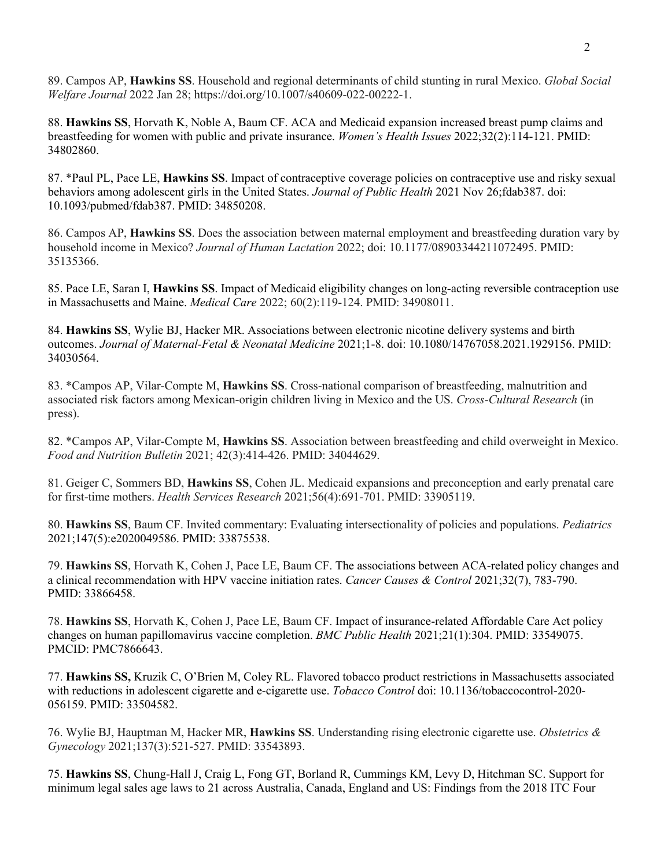89. Campos AP, **Hawkins SS**. Household and regional determinants of child stunting in rural Mexico. *Global Social Welfare Journal* 2022 Jan 28; https://doi.org/10.1007/s40609-022-00222-1.

88. **Hawkins SS**, Horvath K, Noble A, Baum CF. ACA and Medicaid expansion increased breast pump claims and breastfeeding for women with public and private insurance. *Women's Health Issues* 2022;32(2):114-121. PMID: 34802860.

87. \*Paul PL, Pace LE, **Hawkins SS**. Impact of contraceptive coverage policies on contraceptive use and risky sexual behaviors among adolescent girls in the United States. *Journal of Public Health* 2021 Nov 26;fdab387. doi: 10.1093/pubmed/fdab387. PMID: 34850208.

86. Campos AP, **Hawkins SS**. Does the association between maternal employment and breastfeeding duration vary by household income in Mexico? *Journal of Human Lactation* 2022; doi: 10.1177/08903344211072495. PMID: 35135366.

85. Pace LE, Saran I, **Hawkins SS**. Impact of Medicaid eligibility changes on long-acting reversible contraception use in Massachusetts and Maine. *Medical Care* 2022; 60(2):119-124. PMID: 34908011.

84. **Hawkins SS**, Wylie BJ, Hacker MR. Associations between electronic nicotine delivery systems and birth outcomes. *Journal of Maternal-Fetal & Neonatal Medicine* 2021;1-8. doi: 10.1080/14767058.2021.1929156. PMID: 34030564.

83. \*Campos AP, Vilar-Compte M, **Hawkins SS**. Cross-national comparison of breastfeeding, malnutrition and associated risk factors among Mexican-origin children living in Mexico and the US. *Cross-Cultural Research* (in press).

82. \*Campos AP, Vilar-Compte M, **Hawkins SS**. Association between breastfeeding and child overweight in Mexico. *Food and Nutrition Bulletin* 2021; 42(3):414-426. PMID: 34044629.

81. Geiger C, Sommers BD, **Hawkins SS**, Cohen JL. Medicaid expansions and preconception and early prenatal care for first-time mothers. *Health Services Research* 2021;56(4):691-701. PMID: 33905119.

80. **Hawkins SS**, Baum CF. Invited commentary: Evaluating intersectionality of policies and populations. *Pediatrics*  2021;147(5):e2020049586. PMID: 33875538.

79. **Hawkins SS**, Horvath K, Cohen J, Pace LE, Baum CF. The associations between ACA-related policy changes and a clinical recommendation with HPV vaccine initiation rates. *Cancer Causes & Control* 2021;32(7), 783-790. PMID: 33866458.

78. **Hawkins SS**, Horvath K, Cohen J, Pace LE, Baum CF. Impact of insurance-related Affordable Care Act policy changes on human papillomavirus vaccine completion. *BMC Public Health* 2021;21(1):304. PMID: 33549075. PMCID: PMC7866643.

77. **Hawkins SS,** Kruzik C, O'Brien M, Coley RL. Flavored tobacco product restrictions in Massachusetts associated with reductions in adolescent cigarette and e-cigarette use. *Tobacco Control* doi: 10.1136/tobaccocontrol-2020- 056159. PMID: 33504582.

76. Wylie BJ, Hauptman M, Hacker MR, **Hawkins SS**. Understanding rising electronic cigarette use. *Obstetrics & Gynecology* 2021;137(3):521-527. PMID: 33543893.

75. **Hawkins SS**, Chung-Hall J, Craig L, Fong GT, Borland R, Cummings KM, Levy D, Hitchman SC. Support for minimum legal sales age laws to 21 across Australia, Canada, England and US: Findings from the 2018 ITC Four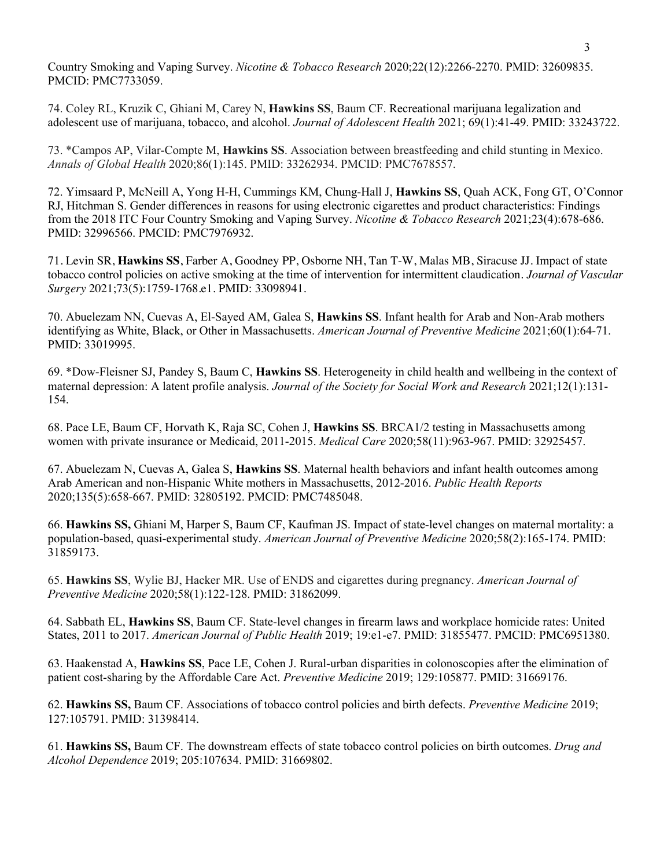Country Smoking and Vaping Survey. *Nicotine & Tobacco Research* 2020;22(12):2266-2270. PMID: 32609835. PMCID: PMC7733059.

74. Coley RL, Kruzik C, Ghiani M, Carey N, **Hawkins SS**, Baum CF. Recreational marijuana legalization and adolescent use of marijuana, tobacco, and alcohol. *Journal of Adolescent Health* 2021; 69(1):41-49. PMID: 33243722.

73. \*Campos AP, Vilar-Compte M, **Hawkins SS**. Association between breastfeeding and child stunting in Mexico. *Annals of Global Health* 2020;86(1):145. PMID: 33262934. PMCID: PMC7678557.

72. Yimsaard P, McNeill A, Yong H-H, Cummings KM, Chung-Hall J, **Hawkins SS**, Quah ACK, Fong GT, O'Connor RJ, Hitchman S. Gender differences in reasons for using electronic cigarettes and product characteristics: Findings from the 2018 ITC Four Country Smoking and Vaping Survey. *Nicotine & Tobacco Research* 2021;23(4):678-686. PMID: 32996566. PMCID: PMC7976932.

71. Levin SR, **Hawkins SS**, Farber A, Goodney PP, Osborne NH, Tan T-W, Malas MB, Siracuse JJ. Impact of state tobacco control policies on active smoking at the time of intervention for intermittent claudication. *Journal of Vascular Surgery* 2021;73(5):1759-1768.e1. PMID: 33098941.

70. Abuelezam NN, Cuevas A, El-Sayed AM, Galea S, **Hawkins SS**. Infant health for Arab and Non-Arab mothers identifying as White, Black, or Other in Massachusetts. *American Journal of Preventive Medicine* 2021;60(1):64-71. PMID: 33019995.

69. \*Dow-Fleisner SJ, Pandey S, Baum C, **Hawkins SS**. Heterogeneity in child health and wellbeing in the context of maternal depression: A latent profile analysis. *Journal of the Society for Social Work and Research* 2021;12(1):131- 154.

68. Pace LE, Baum CF, Horvath K, Raja SC, Cohen J, **Hawkins SS**. BRCA1/2 testing in Massachusetts among women with private insurance or Medicaid, 2011-2015. *Medical Care* 2020;58(11):963-967. PMID: 32925457.

67. Abuelezam N, Cuevas A, Galea S, **Hawkins SS**. Maternal health behaviors and infant health outcomes among Arab American and non-Hispanic White mothers in Massachusetts, 2012-2016. *Public Health Reports* 2020;135(5):658-667. PMID: 32805192. PMCID: PMC7485048.

66. **Hawkins SS,** Ghiani M, Harper S, Baum CF, Kaufman JS. Impact of state-level changes on maternal mortality: a population-based, quasi-experimental study. *American Journal of Preventive Medicine* 2020;58(2):165-174. PMID: 31859173.

65. **Hawkins SS**, Wylie BJ, Hacker MR. Use of ENDS and cigarettes during pregnancy. *American Journal of Preventive Medicine* 2020;58(1):122-128. PMID: 31862099.

64. Sabbath EL, **Hawkins SS**, Baum CF. State-level changes in firearm laws and workplace homicide rates: United States, 2011 to 2017. *American Journal of Public Health* 2019; 19:e1-e7. PMID: 31855477. PMCID: PMC6951380.

63. Haakenstad A, **Hawkins SS**, Pace LE, Cohen J. Rural-urban disparities in colonoscopies after the elimination of patient cost-sharing by the Affordable Care Act. *Preventive Medicine* 2019; 129:105877. PMID: 31669176.

62. **Hawkins SS,** Baum CF. Associations of tobacco control policies and birth defects. *Preventive Medicine* 2019; 127:105791. PMID: 31398414.

61. **Hawkins SS,** Baum CF. The downstream effects of state tobacco control policies on birth outcomes. *Drug and Alcohol Dependence* 2019; 205:107634. PMID: 31669802.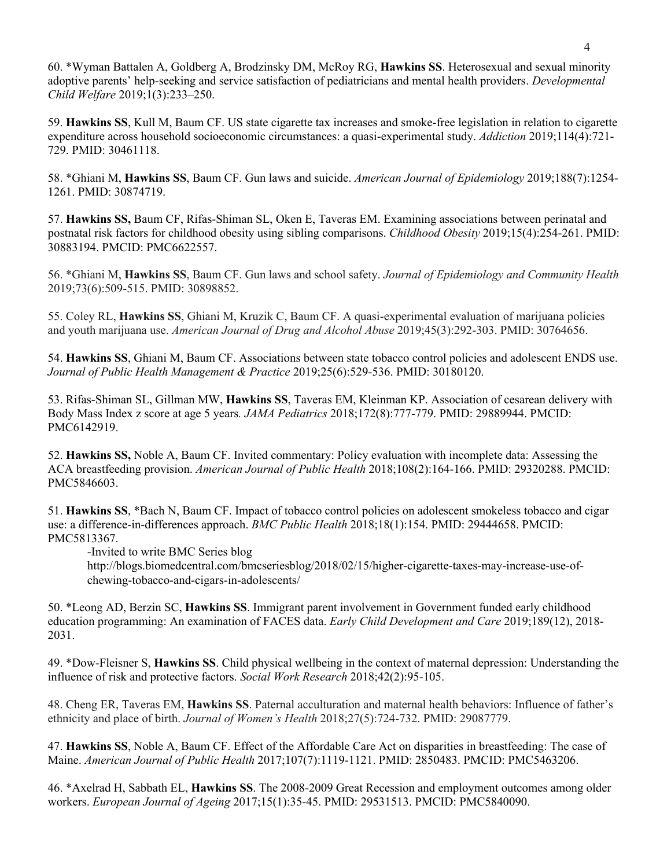60. \*Wyman Battalen A, Goldberg A, Brodzinsky DM, McRoy RG, **Hawkins SS**. Heterosexual and sexual minority adoptive parents' help-seeking and service satisfaction of pediatricians and mental health providers. *Developmental Child Welfare* 2019;1(3):233–250.

59. **Hawkins SS**, Kull M, Baum CF. US state cigarette tax increases and smoke-free legislation in relation to cigarette expenditure across household socioeconomic circumstances: a quasi-experimental study. *Addiction* 2019;114(4):721- 729. PMID: 30461118.

58. \*Ghiani M, **Hawkins SS**, Baum CF. Gun laws and suicide. *American Journal of Epidemiology* 2019;188(7):1254- 1261. PMID: 30874719.

57. **Hawkins SS,** Baum CF, Rifas-Shiman SL, Oken E, Taveras EM. Examining associations between perinatal and postnatal risk factors for childhood obesity using sibling comparisons. *Childhood Obesity* 2019;15(4):254-261. PMID: 30883194. PMCID: PMC6622557.

56. \*Ghiani M, **Hawkins SS**, Baum CF. Gun laws and school safety. *Journal of Epidemiology and Community Health* 2019;73(6):509-515. PMID: 30898852.

55. Coley RL, **Hawkins SS**, Ghiani M, Kruzik C, Baum CF. A quasi-experimental evaluation of marijuana policies and youth marijuana use. *American Journal of Drug and Alcohol Abuse* 2019;45(3):292-303. PMID: 30764656.

54. **Hawkins SS**, Ghiani M, Baum CF. Associations between state tobacco control policies and adolescent ENDS use. *Journal of Public Health Management & Practice* 2019;25(6):529-536. PMID: 30180120.

53. Rifas-Shiman SL, Gillman MW, **Hawkins SS**, Taveras EM, Kleinman KP. Association of cesarean delivery with Body Mass Index z score at age 5 years*. JAMA Pediatrics* 2018;172(8):777-779. PMID: 29889944. PMCID: PMC6142919.

52. **Hawkins SS,** Noble A, Baum CF. Invited commentary: Policy evaluation with incomplete data: Assessing the ACA breastfeeding provision. *American Journal of Public Health* 2018;108(2):164-166. PMID: 29320288. PMCID: PMC5846603.

51. **Hawkins SS**, \*Bach N, Baum CF. Impact of tobacco control policies on adolescent smokeless tobacco and cigar use: a difference-in-differences approach. *BMC Public Health* 2018;18(1):154. PMID: 29444658. PMCID: PMC5813367.

-Invited to write BMC Series blog

http://blogs.biomedcentral.com/bmcseriesblog/2018/02/15/higher-cigarette-taxes-may-increase-use-ofchewing-tobacco-and-cigars-in-adolescents/

50. \*Leong AD, Berzin SC, **Hawkins SS**. Immigrant parent involvement in Government funded early childhood education programming: An examination of FACES data. *Early Child Development and Care* 2019;189(12), 2018- 2031.

49. \*Dow-Fleisner S, **Hawkins SS**. Child physical wellbeing in the context of maternal depression: Understanding the influence of risk and protective factors. *Social Work Research* 2018;42(2):95-105.

48. Cheng ER, Taveras EM, **Hawkins SS**. Paternal acculturation and maternal health behaviors: Influence of father's ethnicity and place of birth. *Journal of Women's Health* 2018;27(5):724-732. PMID: 29087779.

47. **Hawkins SS**, Noble A, Baum CF. Effect of the Affordable Care Act on disparities in breastfeeding: The case of Maine. *American Journal of Public Health* 2017;107(7):1119-1121. PMID: 2850483. PMCID: PMC5463206.

46. \*Axelrad H, Sabbath EL, **Hawkins SS**. The 2008-2009 Great Recession and employment outcomes among older workers. *European Journal of Ageing* 2017;15(1):35-45. PMID: 29531513. PMCID: PMC5840090.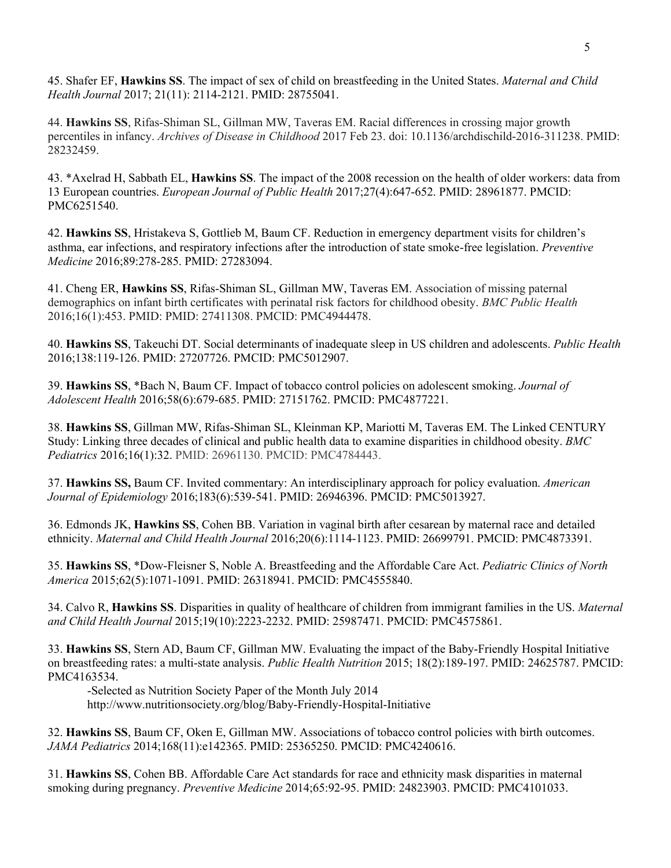45. Shafer EF, **Hawkins SS**. The impact of sex of child on breastfeeding in the United States. *Maternal and Child Health Journal* 2017; 21(11): 2114-2121. PMID: 28755041.

44. **Hawkins SS**, Rifas-Shiman SL, Gillman MW, Taveras EM. Racial differences in crossing major growth percentiles in infancy. *Archives of Disease in Childhood* 2017 Feb 23. doi: 10.1136/archdischild-2016-311238. PMID: 28232459.

43. \*Axelrad H, Sabbath EL, **Hawkins SS**. The impact of the 2008 recession on the health of older workers: data from 13 European countries. *European Journal of Public Health* 2017;27(4):647-652. PMID: 28961877. PMCID: PMC6251540.

42. **Hawkins SS**, Hristakeva S, Gottlieb M, Baum CF. Reduction in emergency department visits for children's asthma, ear infections, and respiratory infections after the introduction of state smoke-free legislation. *Preventive Medicine* 2016;89:278-285. PMID: 27283094.

41. Cheng ER, **Hawkins SS**, Rifas-Shiman SL, Gillman MW, Taveras EM. Association of missing paternal demographics on infant birth certificates with perinatal risk factors for childhood obesity. *BMC Public Health* 2016;16(1):453. PMID: PMID: 27411308. PMCID: PMC4944478.

40. **Hawkins SS**, Takeuchi DT. Social determinants of inadequate sleep in US children and adolescents. *Public Health* 2016;138:119-126. PMID: 27207726. PMCID: PMC5012907.

39. **Hawkins SS**, \*Bach N, Baum CF. Impact of tobacco control policies on adolescent smoking. *Journal of Adolescent Health* 2016;58(6):679-685. PMID: 27151762. PMCID: PMC4877221.

38. **Hawkins SS**, Gillman MW, Rifas-Shiman SL, Kleinman KP, Mariotti M, Taveras EM. The Linked CENTURY Study: Linking three decades of clinical and public health data to examine disparities in childhood obesity. *BMC Pediatrics* 2016;16(1):32. PMID: 26961130. PMCID: PMC4784443.

37. **Hawkins SS,** Baum CF. Invited commentary: An interdisciplinary approach for policy evaluation. *American Journal of Epidemiology* 2016;183(6):539-541. PMID: 26946396. PMCID: PMC5013927.

36. Edmonds JK, **Hawkins SS**, Cohen BB. Variation in vaginal birth after cesarean by maternal race and detailed ethnicity. *Maternal and Child Health Journal* 2016;20(6):1114-1123. PMID: 26699791. PMCID: PMC4873391.

35. **Hawkins SS**, \*Dow-Fleisner S, Noble A. Breastfeeding and the Affordable Care Act. *Pediatric Clinics of North America* 2015;62(5):1071-1091. PMID: 26318941. PMCID: PMC4555840.

34. Calvo R, **Hawkins SS**. Disparities in quality of healthcare of children from immigrant families in the US. *Maternal and Child Health Journal* 2015;19(10):2223-2232. PMID: 25987471. PMCID: PMC4575861.

33. **Hawkins SS**, Stern AD, Baum CF, Gillman MW. Evaluating the impact of the Baby-Friendly Hospital Initiative on breastfeeding rates: a multi-state analysis. *Public Health Nutrition* 2015; 18(2):189-197. PMID: 24625787. PMCID: PMC4163534.

-Selected as Nutrition Society Paper of the Month July 2014

http://www.nutritionsociety.org/blog/Baby-Friendly-Hospital-Initiative

32. **Hawkins SS**, Baum CF, Oken E, Gillman MW. Associations of tobacco control policies with birth outcomes. *JAMA Pediatrics* 2014;168(11):e142365. PMID: 25365250. PMCID: PMC4240616.

31. **Hawkins SS**, Cohen BB. Affordable Care Act standards for race and ethnicity mask disparities in maternal smoking during pregnancy. *Preventive Medicine* 2014;65:92-95. PMID: 24823903. PMCID: PMC4101033.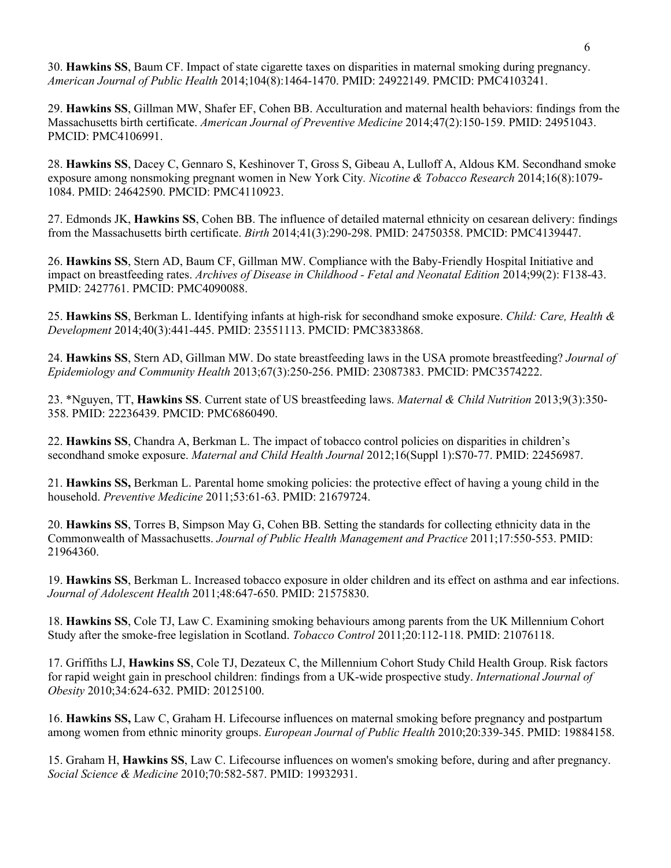30. **Hawkins SS**, Baum CF. Impact of state cigarette taxes on disparities in maternal smoking during pregnancy. *American Journal of Public Health* 2014;104(8):1464-1470. PMID: 24922149. PMCID: PMC4103241.

29. **Hawkins SS**, Gillman MW, Shafer EF, Cohen BB. Acculturation and maternal health behaviors: findings from the Massachusetts birth certificate. *American Journal of Preventive Medicine* 2014;47(2):150-159. PMID: 24951043. PMCID: PMC4106991.

28. **Hawkins SS**, Dacey C, Gennaro S, Keshinover T, Gross S, Gibeau A, Lulloff A, Aldous KM. Secondhand smoke exposure among nonsmoking pregnant women in New York City*. Nicotine & Tobacco Research* 2014;16(8):1079- 1084. PMID: 24642590. PMCID: PMC4110923.

27. Edmonds JK, **Hawkins SS**, Cohen BB. The influence of detailed maternal ethnicity on cesarean delivery: findings from the Massachusetts birth certificate. *Birth* 2014;41(3):290-298. PMID: 24750358. PMCID: PMC4139447.

26. **Hawkins SS**, Stern AD, Baum CF, Gillman MW. Compliance with the Baby-Friendly Hospital Initiative and impact on breastfeeding rates. *Archives of Disease in Childhood - Fetal and Neonatal Edition* 2014;99(2): F138-43. PMID: 2427761. PMCID: PMC4090088.

25. **Hawkins SS**, Berkman L. Identifying infants at high-risk for secondhand smoke exposure. *Child: Care, Health & Development* 2014;40(3):441-445. PMID: 23551113. PMCID: PMC3833868.

24. **Hawkins SS**, Stern AD, Gillman MW. Do state breastfeeding laws in the USA promote breastfeeding? *Journal of Epidemiology and Community Health* 2013;67(3):250-256. PMID: 23087383. PMCID: PMC3574222.

23. \*Nguyen, TT, **Hawkins SS**. Current state of US breastfeeding laws. *Maternal & Child Nutrition* 2013;9(3):350- 358. PMID: 22236439. PMCID: PMC6860490.

22. **Hawkins SS**, Chandra A, Berkman L. The impact of tobacco control policies on disparities in children's secondhand smoke exposure. *Maternal and Child Health Journal* 2012;16(Suppl 1):S70-77. PMID: 22456987.

21. **Hawkins SS,** Berkman L. Parental home smoking policies: the protective effect of having a young child in the household. *Preventive Medicine* 2011;53:61-63. PMID: 21679724.

20. **Hawkins SS**, Torres B, Simpson May G, Cohen BB. Setting the standards for collecting ethnicity data in the Commonwealth of Massachusetts. *Journal of Public Health Management and Practice* 2011;17:550-553. PMID: 21964360.

19. **Hawkins SS**, Berkman L. Increased tobacco exposure in older children and its effect on asthma and ear infections. *Journal of Adolescent Health* 2011;48:647-650. PMID: 21575830.

18. **Hawkins SS**, Cole TJ, Law C. Examining smoking behaviours among parents from the UK Millennium Cohort Study after the smoke-free legislation in Scotland. *Tobacco Control* 2011;20:112-118. PMID: 21076118.

17. Griffiths LJ, **Hawkins SS**, Cole TJ, Dezateux C, the Millennium Cohort Study Child Health Group. Risk factors for rapid weight gain in preschool children: findings from a UK-wide prospective study. *International Journal of Obesity* 2010;34:624-632. PMID: 20125100.

16. **Hawkins SS,** Law C, Graham H. Lifecourse influences on maternal smoking before pregnancy and postpartum among women from ethnic minority groups. *European Journal of Public Health* 2010;20:339-345. PMID: 19884158.

15. Graham H, **Hawkins SS**, Law C. Lifecourse influences on women's smoking before, during and after pregnancy. *Social Science & Medicine* 2010;70:582-587. PMID: 19932931.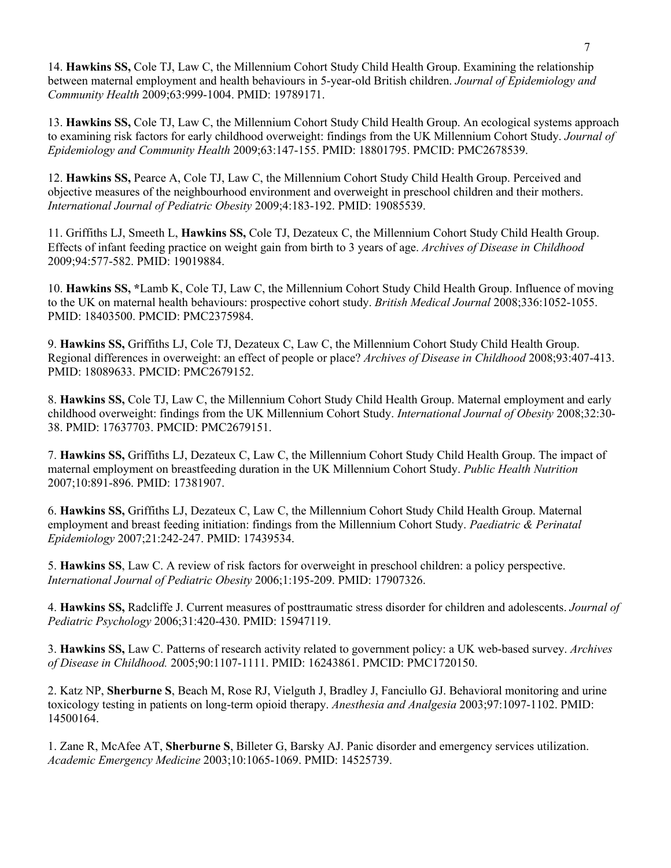14. **Hawkins SS,** Cole TJ, Law C, the Millennium Cohort Study Child Health Group. Examining the relationship between maternal employment and health behaviours in 5-year-old British children. *Journal of Epidemiology and Community Health* 2009;63:999-1004. PMID: 19789171.

13. **Hawkins SS,** Cole TJ, Law C, the Millennium Cohort Study Child Health Group. An ecological systems approach to examining risk factors for early childhood overweight: findings from the UK Millennium Cohort Study. *Journal of Epidemiology and Community Health* 2009;63:147-155. PMID: 18801795. PMCID: PMC2678539.

12. **Hawkins SS,** Pearce A, Cole TJ, Law C, the Millennium Cohort Study Child Health Group. Perceived and objective measures of the neighbourhood environment and overweight in preschool children and their mothers. *International Journal of Pediatric Obesity* 2009;4:183-192. PMID: 19085539.

11. Griffiths LJ, Smeeth L, **Hawkins SS,** Cole TJ, Dezateux C, the Millennium Cohort Study Child Health Group. Effects of infant feeding practice on weight gain from birth to 3 years of age. *Archives of Disease in Childhood* 2009;94:577-582. PMID: 19019884.

10. **Hawkins SS, \***Lamb K, Cole TJ, Law C, the Millennium Cohort Study Child Health Group. Influence of moving to the UK on maternal health behaviours: prospective cohort study. *British Medical Journal* 2008;336:1052-1055. PMID: 18403500. PMCID: PMC2375984.

9. **Hawkins SS,** Griffiths LJ, Cole TJ, Dezateux C, Law C, the Millennium Cohort Study Child Health Group. Regional differences in overweight: an effect of people or place? *Archives of Disease in Childhood* 2008;93:407-413. PMID: 18089633. PMCID: PMC2679152.

8. **Hawkins SS,** Cole TJ, Law C, the Millennium Cohort Study Child Health Group. Maternal employment and early childhood overweight: findings from the UK Millennium Cohort Study. *International Journal of Obesity* 2008;32:30- 38. PMID: 17637703. PMCID: PMC2679151.

7. **Hawkins SS,** Griffiths LJ, Dezateux C, Law C, the Millennium Cohort Study Child Health Group. The impact of maternal employment on breastfeeding duration in the UK Millennium Cohort Study. *Public Health Nutrition* 2007;10:891-896. PMID: 17381907.

6. **Hawkins SS,** Griffiths LJ, Dezateux C, Law C, the Millennium Cohort Study Child Health Group. Maternal employment and breast feeding initiation: findings from the Millennium Cohort Study. *Paediatric & Perinatal Epidemiology* 2007;21:242-247. PMID: 17439534.

5. **Hawkins SS**, Law C. A review of risk factors for overweight in preschool children: a policy perspective. *International Journal of Pediatric Obesity* 2006;1:195-209. PMID: 17907326.

4. **Hawkins SS,** Radcliffe J. Current measures of posttraumatic stress disorder for children and adolescents. *Journal of Pediatric Psychology* 2006;31:420-430. PMID: 15947119.

3. **Hawkins SS,** Law C. Patterns of research activity related to government policy: a UK web-based survey. *Archives of Disease in Childhood.* 2005;90:1107-1111. PMID: 16243861. PMCID: PMC1720150.

2. Katz NP, **Sherburne S**, Beach M, Rose RJ, Vielguth J, Bradley J, Fanciullo GJ. Behavioral monitoring and urine toxicology testing in patients on long-term opioid therapy. *Anesthesia and Analgesia* 2003;97:1097-1102. PMID: 14500164.

1. Zane R, McAfee AT, **Sherburne S**, Billeter G, Barsky AJ. Panic disorder and emergency services utilization. *Academic Emergency Medicine* 2003;10:1065-1069. PMID: 14525739.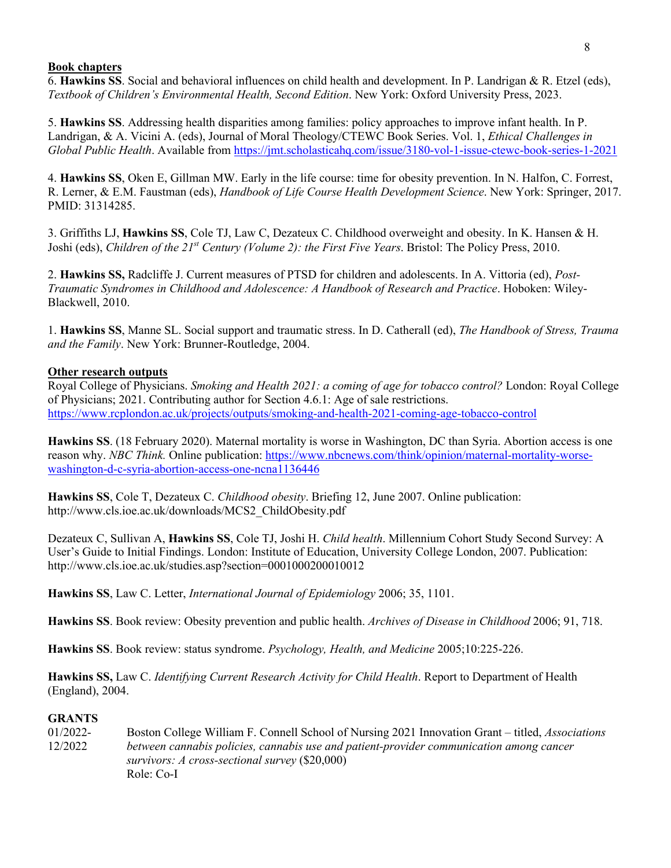#### **Book chapters**

6. **Hawkins SS**. Social and behavioral influences on child health and development. In P. Landrigan & R. Etzel (eds), *Textbook of Children's Environmental Health, Second Edition*. New York: Oxford University Press, 2023.

5. **Hawkins SS**. Addressing health disparities among families: policy approaches to improve infant health. In P. Landrigan, & A. Vicini A. (eds), Journal of Moral Theology/CTEWC Book Series. Vol. 1, *Ethical Challenges in Global Public Health*. Available from https://jmt.scholasticahq.com/issue/3180-vol-1-issue-ctewc-book-series-1-2021

4. **Hawkins SS**, Oken E, Gillman MW. Early in the life course: time for obesity prevention. In N. Halfon, C. Forrest, R. Lerner, & E.M. Faustman (eds), *Handbook of Life Course Health Development Science*. New York: Springer, 2017. PMID: 31314285.

3. Griffiths LJ, **Hawkins SS**, Cole TJ, Law C, Dezateux C. Childhood overweight and obesity. In K. Hansen & H. Joshi (eds), *Children of the 21st Century (Volume 2): the First Five Years*. Bristol: The Policy Press, 2010.

2. **Hawkins SS,** Radcliffe J. Current measures of PTSD for children and adolescents. In A. Vittoria (ed), *Post-Traumatic Syndromes in Childhood and Adolescence: A Handbook of Research and Practice*. Hoboken: Wiley-Blackwell, 2010.

1. **Hawkins SS**, Manne SL. Social support and traumatic stress. In D. Catherall (ed), *The Handbook of Stress, Trauma and the Family*. New York: Brunner-Routledge, 2004.

#### **Other research outputs**

Royal College of Physicians. *Smoking and Health 2021: a coming of age for tobacco control?* London: Royal College of Physicians; 2021. Contributing author for Section 4.6.1: Age of sale restrictions. https://www.rcplondon.ac.uk/projects/outputs/smoking-and-health-2021-coming-age-tobacco-control

**Hawkins SS**. (18 February 2020). Maternal mortality is worse in Washington, DC than Syria. Abortion access is one reason why. *NBC Think.* Online publication: https://www.nbcnews.com/think/opinion/maternal-mortality-worsewashington-d-c-syria-abortion-access-one-ncna1136446

**Hawkins SS**, Cole T, Dezateux C. *Childhood obesity*. Briefing 12, June 2007. Online publication: http://www.cls.ioe.ac.uk/downloads/MCS2\_ChildObesity.pdf

Dezateux C, Sullivan A, **Hawkins SS**, Cole TJ, Joshi H. *Child health*. Millennium Cohort Study Second Survey: A User's Guide to Initial Findings. London: Institute of Education, University College London, 2007. Publication: http://www.cls.ioe.ac.uk/studies.asp?section=0001000200010012

**Hawkins SS**, Law C. Letter, *International Journal of Epidemiology* 2006; 35, 1101.

**Hawkins SS**. Book review: Obesity prevention and public health. *Archives of Disease in Childhood* 2006; 91, 718.

**Hawkins SS**. Book review: status syndrome. *Psychology, Health, and Medicine* 2005;10:225-226.

**Hawkins SS,** Law C. *Identifying Current Research Activity for Child Health*. Report to Department of Health (England), 2004.

### **GRANTS**

01/2022- Boston College William F. Connell School of Nursing 2021 Innovation Grant – titled, *Associations* 12/2022 *between cannabis policies, cannabis use and patient-provider communication among cancer survivors: A cross-sectional survey* (\$20,000) Role: Co-I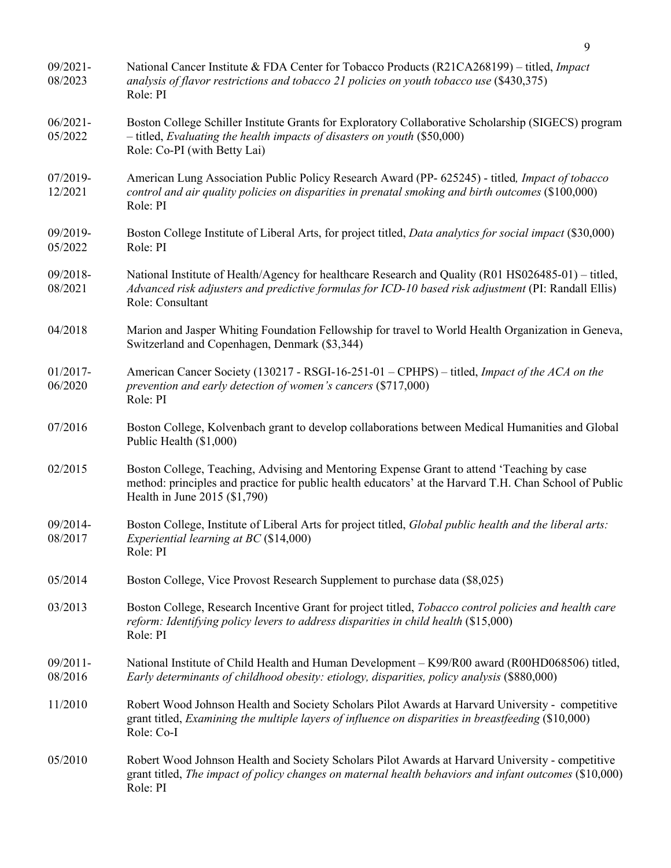| $09/2021 -$<br>08/2023 | National Cancer Institute & FDA Center for Tobacco Products (R21CA268199) – titled, Impact<br>analysis of flavor restrictions and tobacco 21 policies on youth tobacco use (\$430,375)<br>Role: PI                                    |
|------------------------|---------------------------------------------------------------------------------------------------------------------------------------------------------------------------------------------------------------------------------------|
| $06/2021 -$<br>05/2022 | Boston College Schiller Institute Grants for Exploratory Collaborative Scholarship (SIGECS) program<br>$-$ titled, Evaluating the health impacts of disasters on youth (\$50,000)<br>Role: Co-PI (with Betty Lai)                     |
| 07/2019-<br>12/2021    | American Lung Association Public Policy Research Award (PP- 625245) - titled, Impact of tobacco<br>control and air quality policies on disparities in prenatal smoking and birth outcomes (\$100,000)<br>Role: PI                     |
| 09/2019-<br>05/2022    | Boston College Institute of Liberal Arts, for project titled, <i>Data analytics for social impact</i> (\$30,000)<br>Role: PI                                                                                                          |
| 09/2018-<br>08/2021    | National Institute of Health/Agency for healthcare Research and Quality (R01 HS026485-01) – titled,<br>Advanced risk adjusters and predictive formulas for ICD-10 based risk adjustment (PI: Randall Ellis)<br>Role: Consultant       |
| 04/2018                | Marion and Jasper Whiting Foundation Fellowship for travel to World Health Organization in Geneva,<br>Switzerland and Copenhagen, Denmark (\$3,344)                                                                                   |
| 01/2017-<br>06/2020    | American Cancer Society (130217 - RSGI-16-251-01 - CPHPS) - titled, Impact of the ACA on the<br>prevention and early detection of women's cancers (\$717,000)<br>Role: PI                                                             |
| 07/2016                | Boston College, Kolvenbach grant to develop collaborations between Medical Humanities and Global<br>Public Health (\$1,000)                                                                                                           |
| 02/2015                | Boston College, Teaching, Advising and Mentoring Expense Grant to attend 'Teaching by case<br>method: principles and practice for public health educators' at the Harvard T.H. Chan School of Public<br>Health in June 2015 (\$1,790) |
| 09/2014-<br>08/2017    | Boston College, Institute of Liberal Arts for project titled, Global public health and the liberal arts:<br>Experiential learning at $BC$ (\$14,000)<br>Role: PI                                                                      |
| 05/2014                | Boston College, Vice Provost Research Supplement to purchase data (\$8,025)                                                                                                                                                           |
| 03/2013                | Boston College, Research Incentive Grant for project titled, Tobacco control policies and health care<br>reform: Identifying policy levers to address disparities in child health (\$15,000)<br>Role: PI                              |
| 09/2011-<br>08/2016    | National Institute of Child Health and Human Development - K99/R00 award (R00HD068506) titled,<br>Early determinants of childhood obesity: etiology, disparities, policy analysis (\$880,000)                                         |
| 11/2010                | Robert Wood Johnson Health and Society Scholars Pilot Awards at Harvard University - competitive<br>grant titled, Examining the multiple layers of influence on disparities in breastfeeding (\$10,000)<br>Role: Co-I                 |
| 05/2010                | Robert Wood Johnson Health and Society Scholars Pilot Awards at Harvard University - competitive<br>grant titled, The impact of policy changes on maternal health behaviors and infant outcomes (\$10,000)<br>Role: PI                |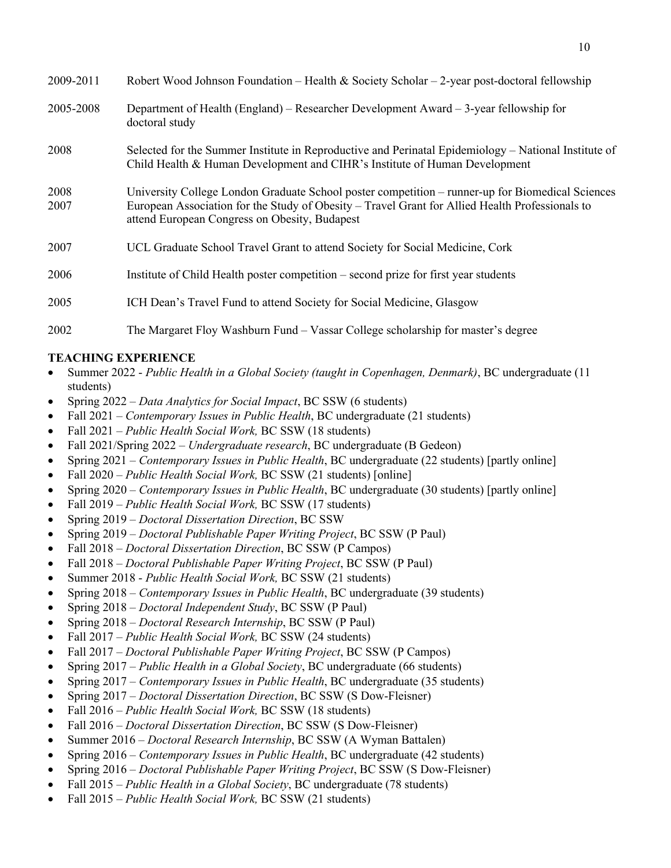| 2009-2011    | Robert Wood Johnson Foundation – Health & Society Scholar – 2-year post-doctoral fellowship                                                                                                                                                          |
|--------------|------------------------------------------------------------------------------------------------------------------------------------------------------------------------------------------------------------------------------------------------------|
| 2005-2008    | Department of Health (England) – Researcher Development Award – 3-year fellowship for<br>doctoral study                                                                                                                                              |
| 2008         | Selected for the Summer Institute in Reproductive and Perinatal Epidemiology – National Institute of<br>Child Health & Human Development and CIHR's Institute of Human Development                                                                   |
| 2008<br>2007 | University College London Graduate School poster competition – runner-up for Biomedical Sciences<br>European Association for the Study of Obesity – Travel Grant for Allied Health Professionals to<br>attend European Congress on Obesity, Budapest |
| 2007         | UCL Graduate School Travel Grant to attend Society for Social Medicine, Cork                                                                                                                                                                         |
| 2006         | Institute of Child Health poster competition – second prize for first year students                                                                                                                                                                  |
| 2005         | ICH Dean's Travel Fund to attend Society for Social Medicine, Glasgow                                                                                                                                                                                |
| 2002         | The Margaret Floy Washburn Fund – Vassar College scholarship for master's degree                                                                                                                                                                     |

### **TEACHING EXPERIENCE**

- Summer 2022 *Public Health in a Global Society (taught in Copenhagen, Denmark)*, BC undergraduate (11 students)
- Spring 2022 *Data Analytics for Social Impact*, BC SSW (6 students)
- Fall 2021 *Contemporary Issues in Public Health*, BC undergraduate (21 students)
- Fall 2021 *Public Health Social Work,* BC SSW (18 students)
- Fall 2021/Spring 2022 *Undergraduate research*, BC undergraduate (B Gedeon)
- Spring 2021 *Contemporary Issues in Public Health*, BC undergraduate (22 students) [partly online]
- Fall 2020 *Public Health Social Work, BC SSW (21 students)* [online]
- Spring 2020 *Contemporary Issues in Public Health*, BC undergraduate (30 students) [partly online]
- Fall 2019 *Public Health Social Work,* BC SSW (17 students)
- Spring 2019 *Doctoral Dissertation Direction*, BC SSW
- Spring 2019 *Doctoral Publishable Paper Writing Project*, BC SSW (P Paul)
- Fall 2018 *Doctoral Dissertation Direction*, BC SSW (P Campos)
- Fall 2018 *Doctoral Publishable Paper Writing Project*, BC SSW (P Paul)
- Summer 2018 *Public Health Social Work,* BC SSW (21 students)
- Spring 2018 *Contemporary Issues in Public Health*, BC undergraduate (39 students)
- Spring 2018 *Doctoral Independent Study*, BC SSW (P Paul)
- Spring 2018 *Doctoral Research Internship*, BC SSW (P Paul)
- Fall 2017 *Public Health Social Work,* BC SSW (24 students)
- Fall 2017 *Doctoral Publishable Paper Writing Project*, BC SSW (P Campos)
- Spring 2017 *Public Health in a Global Society*, BC undergraduate (66 students)
- Spring 2017 *Contemporary Issues in Public Health*, BC undergraduate (35 students)
- Spring 2017 *Doctoral Dissertation Direction*, BC SSW (S Dow-Fleisner)
- Fall 2016 *Public Health Social Work,* BC SSW (18 students)
- Fall 2016 *Doctoral Dissertation Direction*, BC SSW (S Dow-Fleisner)
- Summer 2016 *Doctoral Research Internship*, BC SSW (A Wyman Battalen)
- Spring 2016 *Contemporary Issues in Public Health*, BC undergraduate (42 students)
- Spring 2016 *Doctoral Publishable Paper Writing Project*, BC SSW (S Dow-Fleisner)
- Fall 2015 *Public Health in a Global Society*, BC undergraduate (78 students)
- Fall 2015 *Public Health Social Work,* BC SSW (21 students)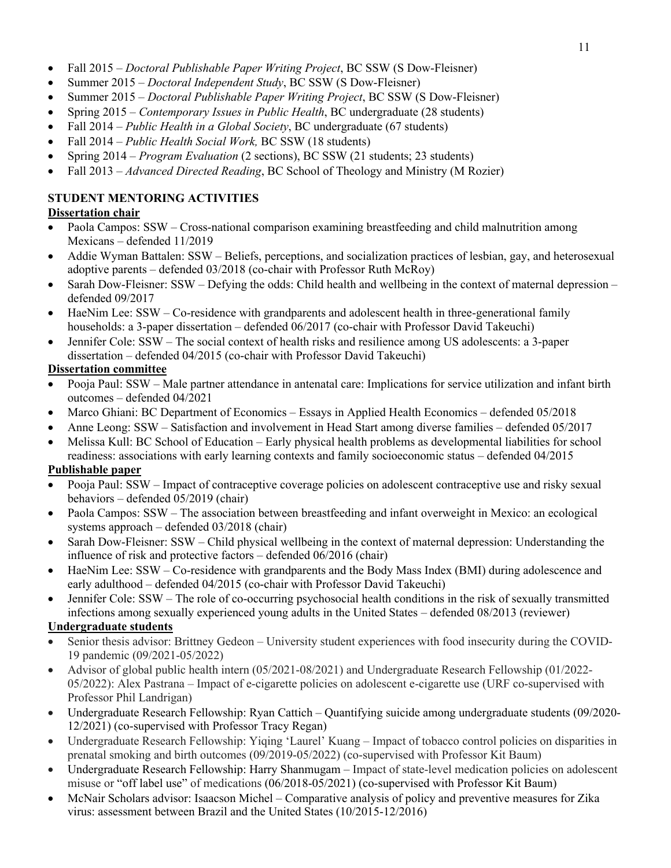- Fall 2015 *Doctoral Publishable Paper Writing Project*, BC SSW (S Dow-Fleisner)
- Summer 2015 *Doctoral Independent Study*, BC SSW (S Dow-Fleisner)
- Summer 2015 *Doctoral Publishable Paper Writing Project*, BC SSW (S Dow-Fleisner)
- Spring 2015 *Contemporary Issues in Public Health*, BC undergraduate (28 students)
- Fall 2014 *Public Health in a Global Society*, BC undergraduate (67 students)
- Fall 2014 *Public Health Social Work,* BC SSW (18 students)
- Spring 2014 *Program Evaluation* (2 sections), BC SSW (21 students; 23 students)
- Fall 2013 *Advanced Directed Reading*, BC School of Theology and Ministry (M Rozier)

# **STUDENT MENTORING ACTIVITIES**

## **Dissertation chair**

- Paola Campos: SSW Cross-national comparison examining breastfeeding and child malnutrition among Mexicans – defended 11/2019
- Addie Wyman Battalen: SSW Beliefs, perceptions, and socialization practices of lesbian, gay, and heterosexual adoptive parents – defended 03/2018 (co-chair with Professor Ruth McRoy)
- Sarah Dow-Fleisner: SSW Defying the odds: Child health and wellbeing in the context of maternal depression defended 09/2017
- HaeNim Lee: SSW Co-residence with grandparents and adolescent health in three-generational family households: a 3-paper dissertation – defended 06/2017 (co-chair with Professor David Takeuchi)
- Jennifer Cole: SSW The social context of health risks and resilience among US adolescents: a 3-paper dissertation – defended 04/2015 (co-chair with Professor David Takeuchi)

## **Dissertation committee**

- Pooja Paul: SSW Male partner attendance in antenatal care: Implications for service utilization and infant birth outcomes – defended 04/2021
- Marco Ghiani: BC Department of Economics Essays in Applied Health Economics defended 05/2018
- Anne Leong: SSW Satisfaction and involvement in Head Start among diverse families defended 05/2017
- Melissa Kull: BC School of Education Early physical health problems as developmental liabilities for school readiness: associations with early learning contexts and family socioeconomic status – defended 04/2015

## **Publishable paper**

- Pooja Paul: SSW Impact of contraceptive coverage policies on adolescent contraceptive use and risky sexual behaviors – defended 05/2019 (chair)
- Paola Campos: SSW The association between breastfeeding and infant overweight in Mexico: an ecological systems approach – defended 03/2018 (chair)
- Sarah Dow-Fleisner: SSW Child physical wellbeing in the context of maternal depression: Understanding the influence of risk and protective factors – defended 06/2016 (chair)
- HaeNim Lee: SSW Co-residence with grandparents and the Body Mass Index (BMI) during adolescence and early adulthood – defended 04/2015 (co-chair with Professor David Takeuchi)
- Jennifer Cole: SSW The role of co-occurring psychosocial health conditions in the risk of sexually transmitted infections among sexually experienced young adults in the United States – defended 08/2013 (reviewer)

## **Undergraduate students**

- Senior thesis advisor: Brittney Gedeon University student experiences with food insecurity during the COVID-19 pandemic (09/2021-05/2022)
- Advisor of global public health intern (05/2021-08/2021) and Undergraduate Research Fellowship (01/2022- 05/2022): Alex Pastrana – Impact of e-cigarette policies on adolescent e-cigarette use (URF co-supervised with Professor Phil Landrigan)
- Undergraduate Research Fellowship: Ryan Cattich Quantifying suicide among undergraduate students (09/2020- 12/2021) (co-supervised with Professor Tracy Regan)
- Undergraduate Research Fellowship: Yiqing 'Laurel' Kuang Impact of tobacco control policies on disparities in prenatal smoking and birth outcomes (09/2019-05/2022) (co-supervised with Professor Kit Baum)
- Undergraduate Research Fellowship: Harry Shanmugam Impact of state-level medication policies on adolescent misuse or "off label use" of medications (06/2018-05/2021) (co-supervised with Professor Kit Baum)
- McNair Scholars advisor: Isaacson Michel Comparative analysis of policy and preventive measures for Zika virus: assessment between Brazil and the United States (10/2015-12/2016)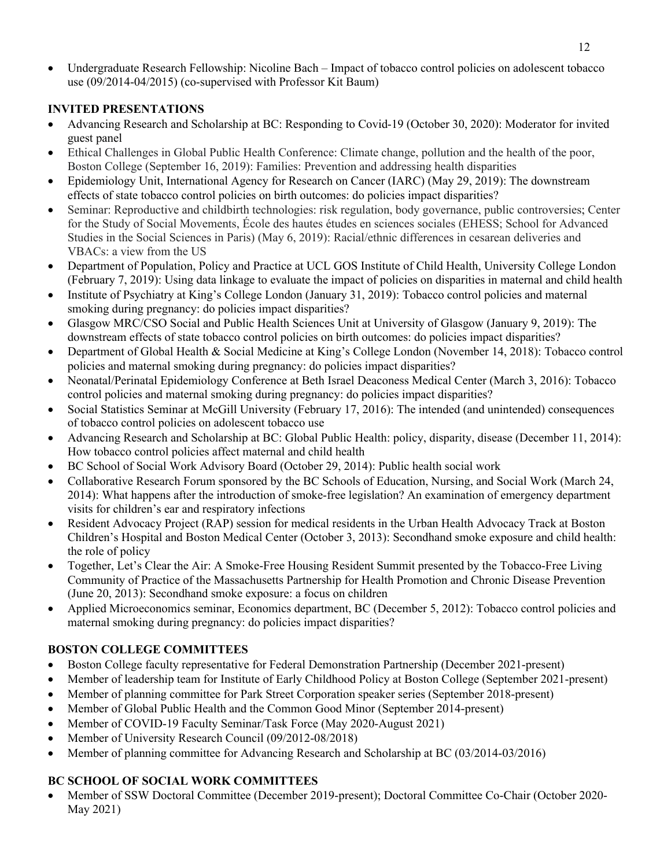• Undergraduate Research Fellowship: Nicoline Bach – Impact of tobacco control policies on adolescent tobacco use (09/2014-04/2015) (co-supervised with Professor Kit Baum)

## **INVITED PRESENTATIONS**

- Advancing Research and Scholarship at BC: Responding to Covid-19 (October 30, 2020): Moderator for invited guest panel
- Ethical Challenges in Global Public Health Conference: Climate change, pollution and the health of the poor, Boston College (September 16, 2019): Families: Prevention and addressing health disparities
- Epidemiology Unit, International Agency for Research on Cancer (IARC) (May 29, 2019): The downstream effects of state tobacco control policies on birth outcomes: do policies impact disparities?
- Seminar: Reproductive and childbirth technologies: risk regulation, body governance, public controversies; Center for the Study of Social Movements, École des hautes études en sciences sociales (EHESS; School for Advanced Studies in the Social Sciences in Paris) (May 6, 2019): Racial/ethnic differences in cesarean deliveries and VBACs: a view from the US
- Department of Population, Policy and Practice at UCL GOS Institute of Child Health, University College London (February 7, 2019): Using data linkage to evaluate the impact of policies on disparities in maternal and child health
- Institute of Psychiatry at King's College London (January 31, 2019): Tobacco control policies and maternal smoking during pregnancy: do policies impact disparities?
- Glasgow MRC/CSO Social and Public Health Sciences Unit at University of Glasgow (January 9, 2019): The downstream effects of state tobacco control policies on birth outcomes: do policies impact disparities?
- Department of Global Health & Social Medicine at King's College London (November 14, 2018): Tobacco control policies and maternal smoking during pregnancy: do policies impact disparities?
- Neonatal/Perinatal Epidemiology Conference at Beth Israel Deaconess Medical Center (March 3, 2016): Tobacco control policies and maternal smoking during pregnancy: do policies impact disparities?
- Social Statistics Seminar at McGill University (February 17, 2016): The intended (and unintended) consequences of tobacco control policies on adolescent tobacco use
- Advancing Research and Scholarship at BC: Global Public Health: policy, disparity, disease (December 11, 2014): How tobacco control policies affect maternal and child health
- BC School of Social Work Advisory Board (October 29, 2014): Public health social work
- Collaborative Research Forum sponsored by the BC Schools of Education, Nursing, and Social Work (March 24, 2014): What happens after the introduction of smoke-free legislation? An examination of emergency department visits for children's ear and respiratory infections
- Resident Advocacy Project (RAP) session for medical residents in the Urban Health Advocacy Track at Boston Children's Hospital and Boston Medical Center (October 3, 2013): Secondhand smoke exposure and child health: the role of policy
- Together, Let's Clear the Air: A Smoke-Free Housing Resident Summit presented by the Tobacco-Free Living Community of Practice of the Massachusetts Partnership for Health Promotion and Chronic Disease Prevention (June 20, 2013): Secondhand smoke exposure: a focus on children
- Applied Microeconomics seminar, Economics department, BC (December 5, 2012): Tobacco control policies and maternal smoking during pregnancy: do policies impact disparities?

## **BOSTON COLLEGE COMMITTEES**

- Boston College faculty representative for Federal Demonstration Partnership (December 2021-present)
- Member of leadership team for Institute of Early Childhood Policy at Boston College (September 2021-present)
- Member of planning committee for Park Street Corporation speaker series (September 2018-present)
- Member of Global Public Health and the Common Good Minor (September 2014-present)
- Member of COVID-19 Faculty Seminar/Task Force (May 2020-August 2021)
- Member of University Research Council (09/2012-08/2018)
- Member of planning committee for Advancing Research and Scholarship at BC (03/2014-03/2016)

## **BC SCHOOL OF SOCIAL WORK COMMITTEES**

• Member of SSW Doctoral Committee (December 2019-present); Doctoral Committee Co-Chair (October 2020- May 2021)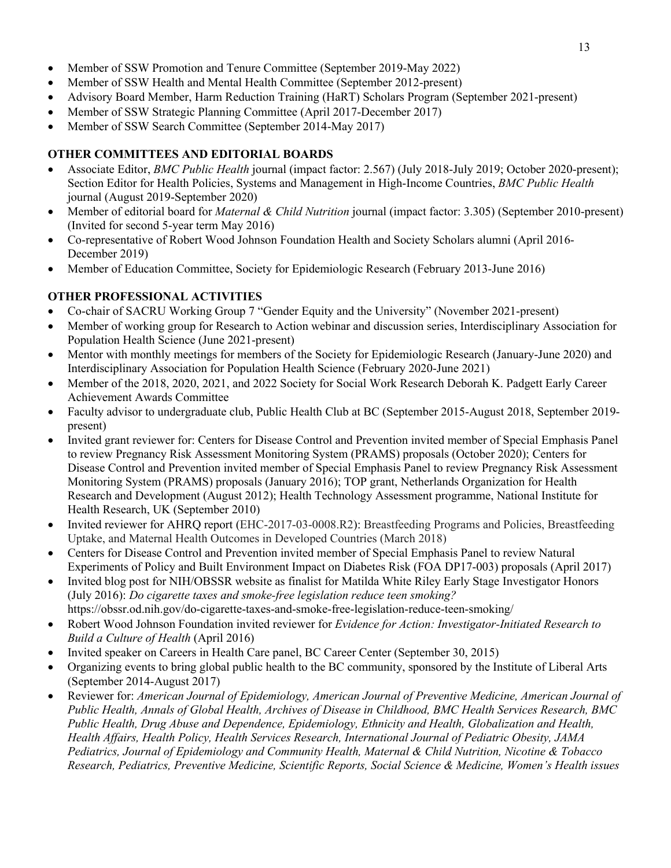- Member of SSW Promotion and Tenure Committee (September 2019-May 2022)
- Member of SSW Health and Mental Health Committee (September 2012-present)
- Advisory Board Member, Harm Reduction Training (HaRT) Scholars Program (September 2021-present)
- Member of SSW Strategic Planning Committee (April 2017-December 2017)
- Member of SSW Search Committee (September 2014-May 2017)

# **OTHER COMMITTEES AND EDITORIAL BOARDS**

- Associate Editor, *BMC Public Health* journal (impact factor: 2.567) (July 2018-July 2019; October 2020-present); Section Editor for Health Policies, Systems and Management in High-Income Countries, *BMC Public Health* journal (August 2019-September 2020)
- Member of editorial board for *Maternal & Child Nutrition* journal (impact factor: 3.305) (September 2010-present) (Invited for second 5-year term May 2016)
- Co-representative of Robert Wood Johnson Foundation Health and Society Scholars alumni (April 2016- December 2019)
- Member of Education Committee, Society for Epidemiologic Research (February 2013-June 2016)

# **OTHER PROFESSIONAL ACTIVITIES**

- Co-chair of SACRU Working Group 7 "Gender Equity and the University" (November 2021-present)
- Member of working group for Research to Action webinar and discussion series, Interdisciplinary Association for Population Health Science (June 2021-present)
- Mentor with monthly meetings for members of the Society for Epidemiologic Research (January-June 2020) and Interdisciplinary Association for Population Health Science (February 2020-June 2021)
- Member of the 2018, 2020, 2021, and 2022 Society for Social Work Research Deborah K. Padgett Early Career Achievement Awards Committee
- Faculty advisor to undergraduate club, Public Health Club at BC (September 2015-August 2018, September 2019present)
- Invited grant reviewer for: Centers for Disease Control and Prevention invited member of Special Emphasis Panel to review Pregnancy Risk Assessment Monitoring System (PRAMS) proposals (October 2020); Centers for Disease Control and Prevention invited member of Special Emphasis Panel to review Pregnancy Risk Assessment Monitoring System (PRAMS) proposals (January 2016); TOP grant, Netherlands Organization for Health Research and Development (August 2012); Health Technology Assessment programme, National Institute for Health Research, UK (September 2010)
- Invited reviewer for AHRQ report (EHC-2017-03-0008.R2): Breastfeeding Programs and Policies, Breastfeeding Uptake, and Maternal Health Outcomes in Developed Countries (March 2018)
- Centers for Disease Control and Prevention invited member of Special Emphasis Panel to review Natural Experiments of Policy and Built Environment Impact on Diabetes Risk (FOA DP17-003) proposals (April 2017)
- Invited blog post for NIH/OBSSR website as finalist for Matilda White Riley Early Stage Investigator Honors (July 2016): *Do cigarette taxes and smoke-free legislation reduce teen smoking?* https://obssr.od.nih.gov/do-cigarette-taxes-and-smoke-free-legislation-reduce-teen-smoking/
- Robert Wood Johnson Foundation invited reviewer for *Evidence for Action: Investigator-Initiated Research to Build a Culture of Health* (April 2016)
- Invited speaker on Careers in Health Care panel, BC Career Center (September 30, 2015)
- Organizing events to bring global public health to the BC community, sponsored by the Institute of Liberal Arts (September 2014-August 2017)
- Reviewer for: *American Journal of Epidemiology, American Journal of Preventive Medicine, American Journal of Public Health, Annals of Global Health, Archives of Disease in Childhood, BMC Health Services Research, BMC Public Health, Drug Abuse and Dependence, Epidemiology, Ethnicity and Health, Globalization and Health, Health Affairs, Health Policy, Health Services Research, International Journal of Pediatric Obesity, JAMA Pediatrics, Journal of Epidemiology and Community Health, Maternal & Child Nutrition, Nicotine & Tobacco Research, Pediatrics, Preventive Medicine, Scientific Reports, Social Science & Medicine, Women's Health issues*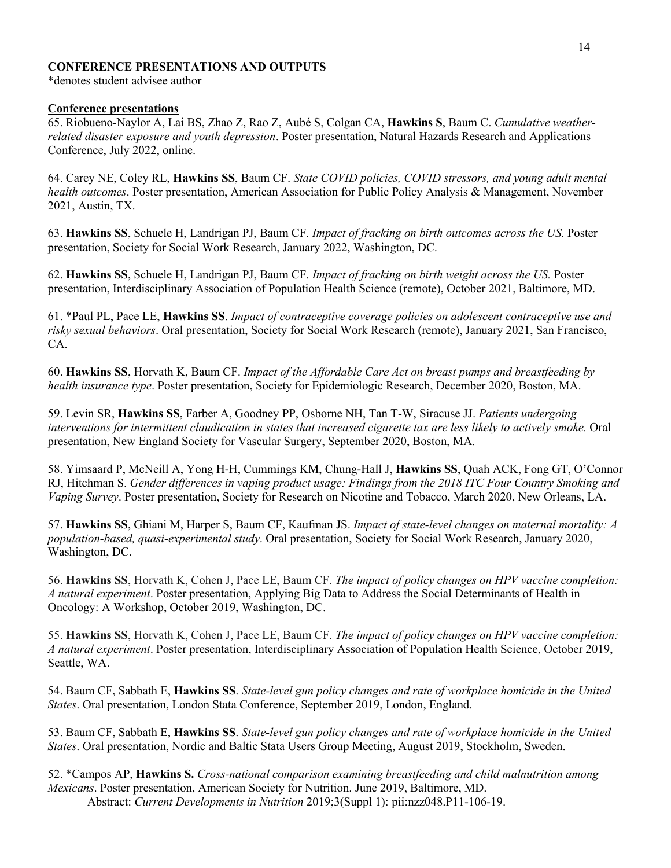### **CONFERENCE PRESENTATIONS AND OUTPUTS**

\*denotes student advisee author

### **Conference presentations**

65. Riobueno-Naylor A, Lai BS, Zhao Z, Rao Z, Aubé S, Colgan CA, **Hawkins S**, Baum C. *Cumulative weatherrelated disaster exposure and youth depression*. Poster presentation, Natural Hazards Research and Applications Conference, July 2022, online.

64. Carey NE, Coley RL, **Hawkins SS**, Baum CF. *State COVID policies, COVID stressors, and young adult mental health outcomes*. Poster presentation, American Association for Public Policy Analysis & Management, November 2021, Austin, TX.

63. **Hawkins SS**, Schuele H, Landrigan PJ, Baum CF. *Impact of fracking on birth outcomes across the US*. Poster presentation, Society for Social Work Research, January 2022, Washington, DC.

62. **Hawkins SS**, Schuele H, Landrigan PJ, Baum CF. *Impact of fracking on birth weight across the US.* Poster presentation, Interdisciplinary Association of Population Health Science (remote), October 2021, Baltimore, MD.

61. \*Paul PL, Pace LE, **Hawkins SS**. *Impact of contraceptive coverage policies on adolescent contraceptive use and risky sexual behaviors*. Oral presentation, Society for Social Work Research (remote), January 2021, San Francisco, CA.

60. **Hawkins SS**, Horvath K, Baum CF. *Impact of the Affordable Care Act on breast pumps and breastfeeding by health insurance type*. Poster presentation, Society for Epidemiologic Research, December 2020, Boston, MA.

59. Levin SR, **Hawkins SS**, Farber A, Goodney PP, Osborne NH, Tan T-W, Siracuse JJ. *Patients undergoing interventions for intermittent claudication in states that increased cigarette tax are less likely to actively smoke.* Oral presentation, New England Society for Vascular Surgery, September 2020, Boston, MA.

58. Yimsaard P, McNeill A, Yong H-H, Cummings KM, Chung-Hall J, **Hawkins SS**, Quah ACK, Fong GT, O'Connor RJ, Hitchman S. *Gender differences in vaping product usage: Findings from the 2018 ITC Four Country Smoking and Vaping Survey*. Poster presentation, Society for Research on Nicotine and Tobacco, March 2020, New Orleans, LA.

57. **Hawkins SS**, Ghiani M, Harper S, Baum CF, Kaufman JS. *Impact of state-level changes on maternal mortality: A population-based, quasi-experimental study*. Oral presentation, Society for Social Work Research, January 2020, Washington, DC.

56. **Hawkins SS**, Horvath K, Cohen J, Pace LE, Baum CF. *The impact of policy changes on HPV vaccine completion: A natural experiment*. Poster presentation, Applying Big Data to Address the Social Determinants of Health in Oncology: A Workshop, October 2019, Washington, DC.

55. **Hawkins SS**, Horvath K, Cohen J, Pace LE, Baum CF. *The impact of policy changes on HPV vaccine completion: A natural experiment*. Poster presentation, Interdisciplinary Association of Population Health Science, October 2019, Seattle, WA.

54. Baum CF, Sabbath E, **Hawkins SS**. *State-level gun policy changes and rate of workplace homicide in the United States*. Oral presentation, London Stata Conference, September 2019, London, England.

53. Baum CF, Sabbath E, **Hawkins SS**. *State-level gun policy changes and rate of workplace homicide in the United States*. Oral presentation, Nordic and Baltic Stata Users Group Meeting, August 2019, Stockholm, Sweden.

52. \*Campos AP, **Hawkins S.** *Cross-national comparison examining breastfeeding and child malnutrition among Mexicans*. Poster presentation, American Society for Nutrition. June 2019, Baltimore, MD. Abstract: *Current Developments in Nutrition* 2019;3(Suppl 1): pii:nzz048.P11-106-19.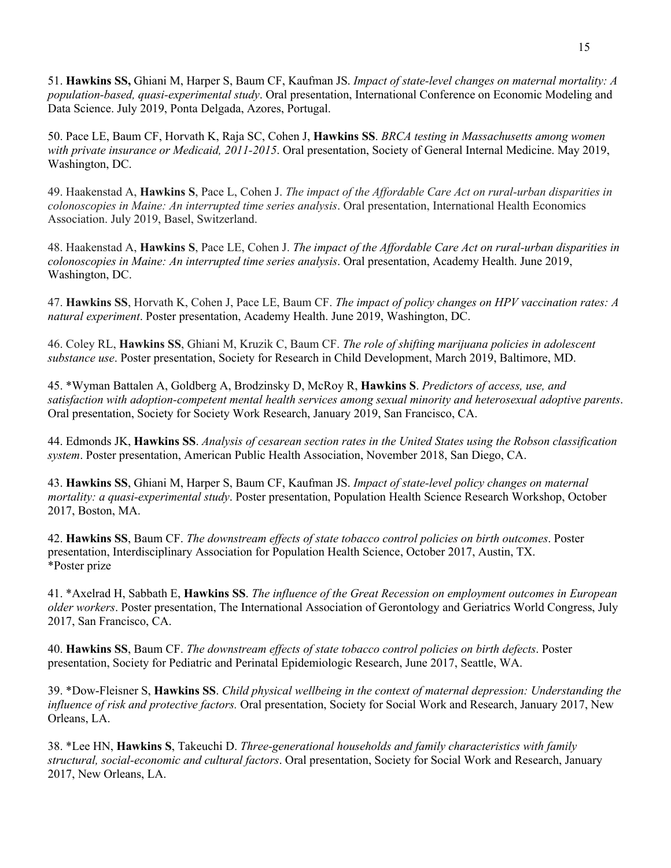51. **Hawkins SS,** Ghiani M, Harper S, Baum CF, Kaufman JS. *Impact of state-level changes on maternal mortality: A population-based, quasi-experimental study*. Oral presentation, International Conference on Economic Modeling and Data Science. July 2019, Ponta Delgada, Azores, Portugal.

50. Pace LE, Baum CF, Horvath K, Raja SC, Cohen J, **Hawkins SS**. *BRCA testing in Massachusetts among women with private insurance or Medicaid, 2011-2015*. Oral presentation, Society of General Internal Medicine. May 2019, Washington, DC.

49. Haakenstad A, **Hawkins S**, Pace L, Cohen J. *The impact of the Affordable Care Act on rural-urban disparities in colonoscopies in Maine: An interrupted time series analysis*. Oral presentation, International Health Economics Association. July 2019, Basel, Switzerland.

48. Haakenstad A, **Hawkins S**, Pace LE, Cohen J. *The impact of the Affordable Care Act on rural-urban disparities in colonoscopies in Maine: An interrupted time series analysis*. Oral presentation, Academy Health. June 2019, Washington, DC.

47. **Hawkins SS**, Horvath K, Cohen J, Pace LE, Baum CF. *The impact of policy changes on HPV vaccination rates: A natural experiment*. Poster presentation, Academy Health. June 2019, Washington, DC.

46. Coley RL, **Hawkins SS**, Ghiani M, Kruzik C, Baum CF. *The role of shifting marijuana policies in adolescent substance use*. Poster presentation, Society for Research in Child Development, March 2019, Baltimore, MD.

45. \*Wyman Battalen A, Goldberg A, Brodzinsky D, McRoy R, **Hawkins S**. *Predictors of access, use, and satisfaction with adoption-competent mental health services among sexual minority and heterosexual adoptive parents*. Oral presentation, Society for Society Work Research, January 2019, San Francisco, CA.

44. Edmonds JK, **Hawkins SS**. *Analysis of cesarean section rates in the United States using the Robson classification system*. Poster presentation, American Public Health Association, November 2018, San Diego, CA.

43. **Hawkins SS**, Ghiani M, Harper S, Baum CF, Kaufman JS. *Impact of state-level policy changes on maternal mortality: a quasi-experimental study*. Poster presentation, Population Health Science Research Workshop, October 2017, Boston, MA.

42. **Hawkins SS**, Baum CF. *The downstream effects of state tobacco control policies on birth outcomes*. Poster presentation, Interdisciplinary Association for Population Health Science, October 2017, Austin, TX. \*Poster prize

41. \*Axelrad H, Sabbath E, **Hawkins SS**. *The influence of the Great Recession on employment outcomes in European older workers*. Poster presentation, The International Association of Gerontology and Geriatrics World Congress, July 2017, San Francisco, CA.

40. **Hawkins SS**, Baum CF. *The downstream effects of state tobacco control policies on birth defects*. Poster presentation, Society for Pediatric and Perinatal Epidemiologic Research, June 2017, Seattle, WA.

39. \*Dow-Fleisner S, **Hawkins SS**. *Child physical wellbeing in the context of maternal depression: Understanding the influence of risk and protective factors.* Oral presentation, Society for Social Work and Research, January 2017, New Orleans, LA.

38. \*Lee HN, **Hawkins S**, Takeuchi D. *Three-generational households and family characteristics with family structural, social-economic and cultural factors*. Oral presentation, Society for Social Work and Research, January 2017, New Orleans, LA.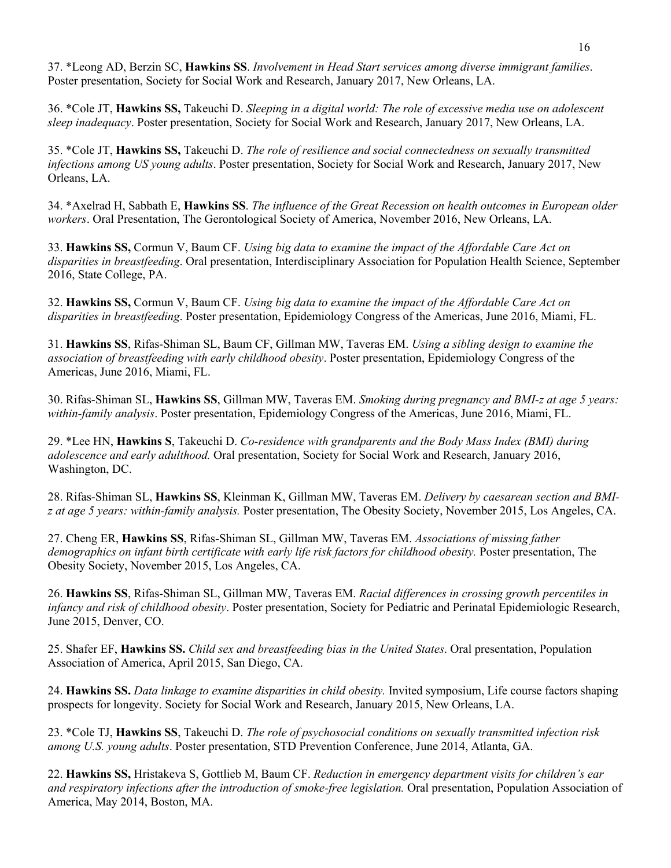37. \*Leong AD, Berzin SC, **Hawkins SS**. *Involvement in Head Start services among diverse immigrant families*. Poster presentation, Society for Social Work and Research, January 2017, New Orleans, LA.

36. \*Cole JT, **Hawkins SS,** Takeuchi D. *Sleeping in a digital world: The role of excessive media use on adolescent sleep inadequacy*. Poster presentation, Society for Social Work and Research, January 2017, New Orleans, LA.

35. \*Cole JT, **Hawkins SS,** Takeuchi D. *The role of resilience and social connectedness on sexually transmitted infections among US young adults*. Poster presentation, Society for Social Work and Research, January 2017, New Orleans, LA.

34. \*Axelrad H, Sabbath E, **Hawkins SS**. *The influence of the Great Recession on health outcomes in European older workers*. Oral Presentation, The Gerontological Society of America, November 2016, New Orleans, LA.

33. **Hawkins SS,** Cormun V, Baum CF. *Using big data to examine the impact of the Affordable Care Act on disparities in breastfeeding*. Oral presentation, Interdisciplinary Association for Population Health Science, September 2016, State College, PA.

32. **Hawkins SS,** Cormun V, Baum CF. *Using big data to examine the impact of the Affordable Care Act on disparities in breastfeeding*. Poster presentation, Epidemiology Congress of the Americas, June 2016, Miami, FL.

31. **Hawkins SS**, Rifas-Shiman SL, Baum CF, Gillman MW, Taveras EM. *Using a sibling design to examine the association of breastfeeding with early childhood obesity*. Poster presentation, Epidemiology Congress of the Americas, June 2016, Miami, FL.

30. Rifas-Shiman SL, **Hawkins SS**, Gillman MW, Taveras EM. *Smoking during pregnancy and BMI-z at age 5 years: within-family analysis*. Poster presentation, Epidemiology Congress of the Americas, June 2016, Miami, FL.

29. \*Lee HN, **Hawkins S**, Takeuchi D. *Co-residence with grandparents and the Body Mass Index (BMI) during adolescence and early adulthood.* Oral presentation, Society for Social Work and Research, January 2016, Washington, DC.

28. Rifas-Shiman SL, **Hawkins SS**, Kleinman K, Gillman MW, Taveras EM. *Delivery by caesarean section and BMIz at age 5 years: within-family analysis.* Poster presentation, The Obesity Society, November 2015, Los Angeles, CA.

27. Cheng ER, **Hawkins SS**, Rifas-Shiman SL, Gillman MW, Taveras EM. *Associations of missing father demographics on infant birth certificate with early life risk factors for childhood obesity.* Poster presentation, The Obesity Society, November 2015, Los Angeles, CA.

26. **Hawkins SS**, Rifas-Shiman SL, Gillman MW, Taveras EM. *Racial differences in crossing growth percentiles in infancy and risk of childhood obesity*. Poster presentation, Society for Pediatric and Perinatal Epidemiologic Research, June 2015, Denver, CO.

25. Shafer EF, **Hawkins SS.** *Child sex and breastfeeding bias in the United States*. Oral presentation, Population Association of America, April 2015, San Diego, CA.

24. **Hawkins SS.** *Data linkage to examine disparities in child obesity.* Invited symposium, Life course factors shaping prospects for longevity. Society for Social Work and Research, January 2015, New Orleans, LA.

23. \*Cole TJ, **Hawkins SS**, Takeuchi D. *The role of psychosocial conditions on sexually transmitted infection risk among U.S. young adults*. Poster presentation, STD Prevention Conference, June 2014, Atlanta, GA.

22. **Hawkins SS,** Hristakeva S, Gottlieb M, Baum CF. *Reduction in emergency department visits for children's ear and respiratory infections after the introduction of smoke-free legislation.* Oral presentation, Population Association of America, May 2014, Boston, MA.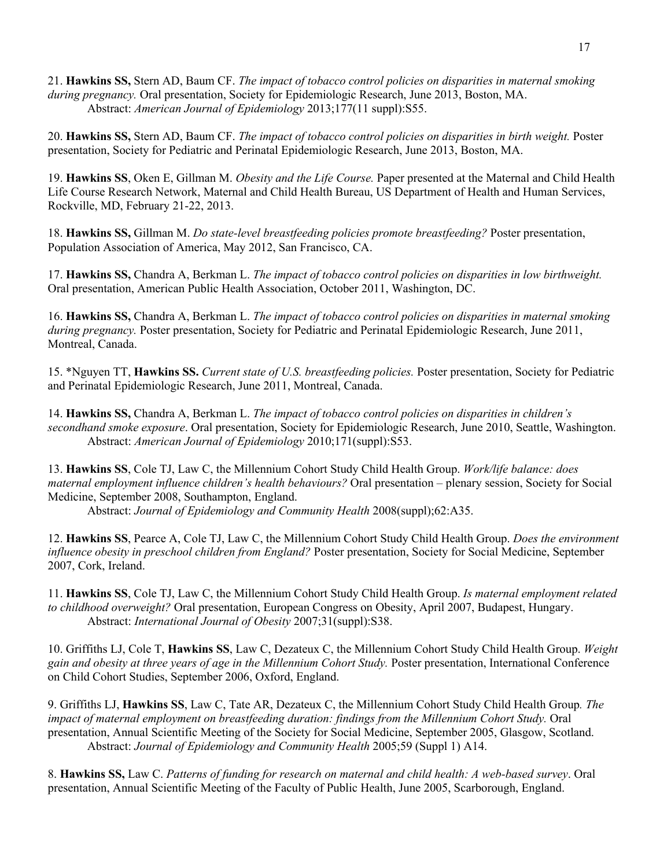21. **Hawkins SS,** Stern AD, Baum CF. *The impact of tobacco control policies on disparities in maternal smoking during pregnancy.* Oral presentation, Society for Epidemiologic Research, June 2013, Boston, MA. Abstract: *American Journal of Epidemiology* 2013;177(11 suppl):S55.

20. **Hawkins SS,** Stern AD, Baum CF. *The impact of tobacco control policies on disparities in birth weight.* Poster presentation, Society for Pediatric and Perinatal Epidemiologic Research, June 2013, Boston, MA.

19. **Hawkins SS**, Oken E, Gillman M. *Obesity and the Life Course.* Paper presented at the Maternal and Child Health Life Course Research Network, Maternal and Child Health Bureau, US Department of Health and Human Services, Rockville, MD, February 21-22, 2013.

18. **Hawkins SS,** Gillman M. *Do state-level breastfeeding policies promote breastfeeding?* Poster presentation, Population Association of America, May 2012, San Francisco, CA.

17. **Hawkins SS,** Chandra A, Berkman L. *The impact of tobacco control policies on disparities in low birthweight.* Oral presentation, American Public Health Association, October 2011, Washington, DC.

16. **Hawkins SS,** Chandra A, Berkman L. *The impact of tobacco control policies on disparities in maternal smoking during pregnancy.* Poster presentation, Society for Pediatric and Perinatal Epidemiologic Research, June 2011, Montreal, Canada.

15. \*Nguyen TT, **Hawkins SS.** *Current state of U.S. breastfeeding policies.* Poster presentation, Society for Pediatric and Perinatal Epidemiologic Research, June 2011, Montreal, Canada.

14. **Hawkins SS,** Chandra A, Berkman L. *The impact of tobacco control policies on disparities in children's secondhand smoke exposure*. Oral presentation, Society for Epidemiologic Research, June 2010, Seattle, Washington. Abstract: *American Journal of Epidemiology* 2010;171(suppl):S53.

13. **Hawkins SS**, Cole TJ, Law C, the Millennium Cohort Study Child Health Group. *Work/life balance: does maternal employment influence children's health behaviours?* Oral presentation – plenary session, Society for Social Medicine, September 2008, Southampton, England.

Abstract: *Journal of Epidemiology and Community Health* 2008(suppl);62:A35.

12. **Hawkins SS**, Pearce A, Cole TJ, Law C, the Millennium Cohort Study Child Health Group. *Does the environment influence obesity in preschool children from England?* Poster presentation, Society for Social Medicine, September 2007, Cork, Ireland.

11. **Hawkins SS**, Cole TJ, Law C, the Millennium Cohort Study Child Health Group. *Is maternal employment related to childhood overweight?* Oral presentation, European Congress on Obesity, April 2007, Budapest, Hungary. Abstract: *International Journal of Obesity* 2007;31(suppl):S38.

10. Griffiths LJ, Cole T, **Hawkins SS**, Law C, Dezateux C, the Millennium Cohort Study Child Health Group. *Weight gain and obesity at three years of age in the Millennium Cohort Study.* Poster presentation, International Conference on Child Cohort Studies, September 2006, Oxford, England.

9. Griffiths LJ, **Hawkins SS**, Law C, Tate AR, Dezateux C, the Millennium Cohort Study Child Health Group*. The impact of maternal employment on breastfeeding duration: findings from the Millennium Cohort Study.* Oral presentation, Annual Scientific Meeting of the Society for Social Medicine, September 2005, Glasgow, Scotland. Abstract: *Journal of Epidemiology and Community Health* 2005;59 (Suppl 1) A14.

8. **Hawkins SS,** Law C. *Patterns of funding for research on maternal and child health: A web-based survey*. Oral presentation, Annual Scientific Meeting of the Faculty of Public Health, June 2005, Scarborough, England.